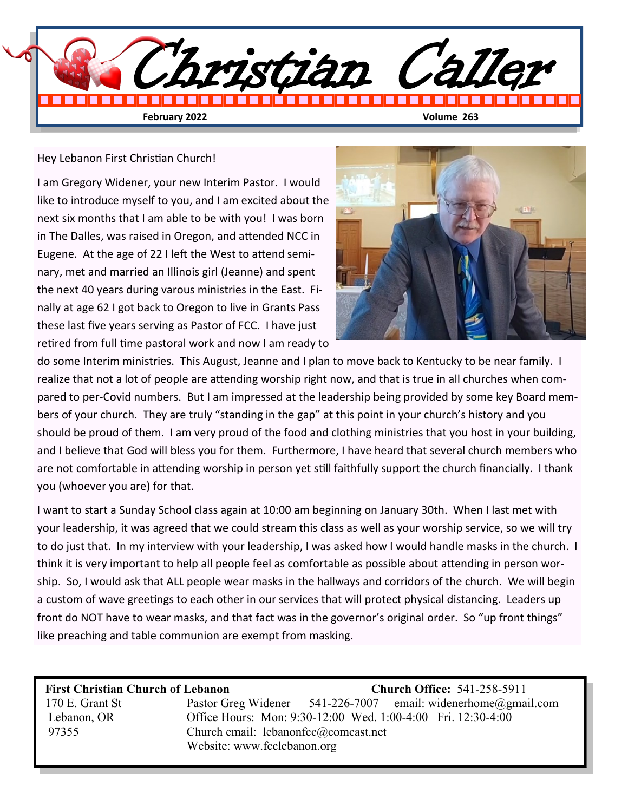

#### Hey Lebanon First Christian Church!

I am Gregory Widener, your new Interim Pastor. I would like to introduce myself to you, and I am excited about the next six months that I am able to be with you! I was born in The Dalles, was raised in Oregon, and attended NCC in Eugene. At the age of 22 I left the West to attend seminary, met and married an Illinois girl (Jeanne) and spent the next 40 years during varous ministries in the East. Finally at age 62 I got back to Oregon to live in Grants Pass these last five years serving as Pastor of FCC. I have just retired from full time pastoral work and now I am ready to



do some Interim ministries. This August, Jeanne and I plan to move back to Kentucky to be near family. I realize that not a lot of people are attending worship right now, and that is true in all churches when compared to per-Covid numbers. But I am impressed at the leadership being provided by some key Board members of your church. They are truly "standing in the gap" at this point in your church's history and you should be proud of them. I am very proud of the food and clothing ministries that you host in your building, and I believe that God will bless you for them. Furthermore, I have heard that several church members who are not comfortable in attending worship in person yet still faithfully support the church financially. I thank you (whoever you are) for that.

I want to start a Sunday School class again at 10:00 am beginning on January 30th. When I last met with your leadership, it was agreed that we could stream this class as well as your worship service, so we will try to do just that. In my interview with your leadership, I was asked how I would handle masks in the church. I think it is very important to help all people feel as comfortable as possible about attending in person worship. So, I would ask that ALL people wear masks in the hallways and corridors of the church. We will begin a custom of wave greetings to each other in our services that will protect physical distancing. Leaders up front do NOT have to wear masks, and that fact was in the governor's original order. So "up front things" like preaching and table communion are exempt from masking.

 **First Christian Church of Lebanon Church Office:** 541-258-5911 170 E. Grant St Pastor Greg Widener 541-226-7007 email: widenerhome@gmail.com Lebanon, OR Office Hours: Mon: 9:30-12:00 Wed. 1:00-4:00 Fri. 12:30-4:00 97355 Church email: lebanonfcc@comcast.net Website: www.fcclebanon.org